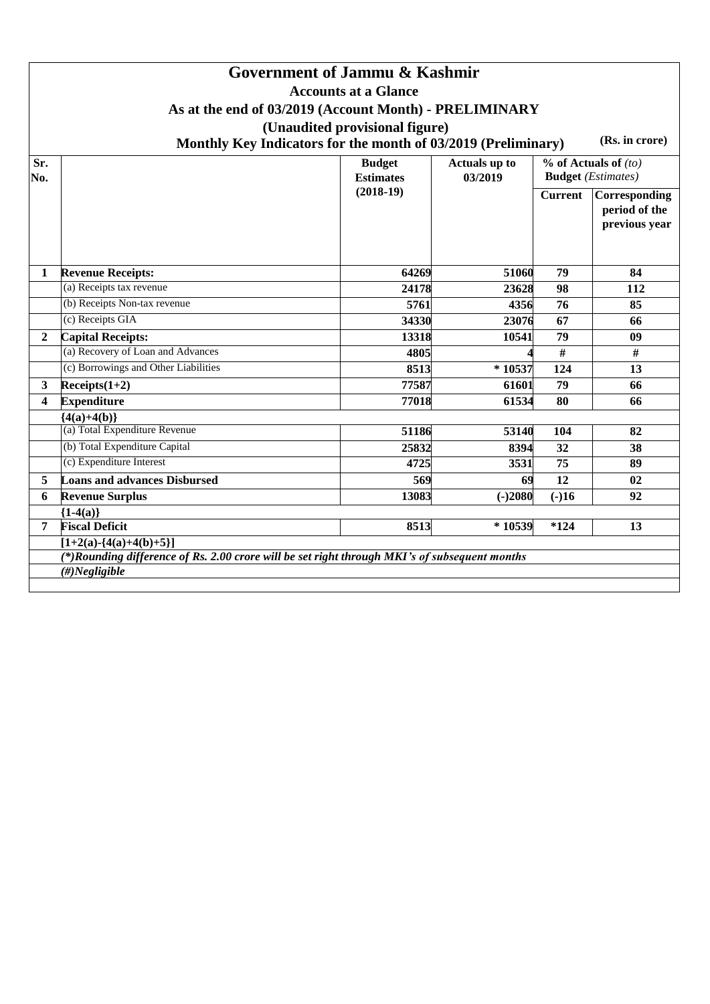|                |                                                                                                                                                  | Government of Jammu & Kashmir<br><b>Accounts at a Glance</b><br>As at the end of 03/2019 (Account Month) - PRELIMINARY<br>(Unaudited provisional figure)<br>Monthly Key Indicators for the month of 03/2019 (Preliminary) |                          |                | (Rs. in crore)                                        |
|----------------|--------------------------------------------------------------------------------------------------------------------------------------------------|---------------------------------------------------------------------------------------------------------------------------------------------------------------------------------------------------------------------------|--------------------------|----------------|-------------------------------------------------------|
| Sr.<br>No.     |                                                                                                                                                  | <b>Budget</b><br><b>Estimates</b>                                                                                                                                                                                         | Actuals up to<br>03/2019 |                | $%$ of Actuals of $(to)$<br><b>Budget</b> (Estimates) |
|                |                                                                                                                                                  | $(2018-19)$                                                                                                                                                                                                               |                          | <b>Current</b> | Corresponding<br>period of the<br>previous year       |
| $\mathbf{1}$   | <b>Revenue Receipts:</b>                                                                                                                         | 64269                                                                                                                                                                                                                     | 51060                    | 79             | 84                                                    |
|                | (a) Receipts tax revenue                                                                                                                         | 24178                                                                                                                                                                                                                     | 23628                    | 98             | 112                                                   |
|                | (b) Receipts Non-tax revenue                                                                                                                     | 5761                                                                                                                                                                                                                      | 4356                     | 76             | 85                                                    |
|                | (c) Receipts GIA                                                                                                                                 | 34330                                                                                                                                                                                                                     | 23076                    | 67             | 66                                                    |
| $\overline{2}$ | <b>Capital Receipts:</b>                                                                                                                         | 13318                                                                                                                                                                                                                     | 10541                    | 79             | 09                                                    |
|                | (a) Recovery of Loan and Advances                                                                                                                | 4805                                                                                                                                                                                                                      |                          | $\#$           | #                                                     |
|                | (c) Borrowings and Other Liabilities                                                                                                             | 8513                                                                                                                                                                                                                      | $*10537$                 | 124            | 13                                                    |
| 3              | $Receipts(1+2)$                                                                                                                                  | 77587                                                                                                                                                                                                                     | 61601                    | 79             | 66                                                    |
| 4              | <b>Expenditure</b>                                                                                                                               | 77018                                                                                                                                                                                                                     | 61534                    | 80             | 66                                                    |
|                | ${4(a)+4(b)}$                                                                                                                                    |                                                                                                                                                                                                                           |                          |                |                                                       |
|                | (a) Total Expenditure Revenue                                                                                                                    | 51186                                                                                                                                                                                                                     | 53140                    | 104            | 82                                                    |
|                | (b) Total Expenditure Capital                                                                                                                    | 25832                                                                                                                                                                                                                     | 8394                     | 32             | 38                                                    |
|                | (c) Expenditure Interest                                                                                                                         | 4725                                                                                                                                                                                                                      | 3531                     | 75             | 89                                                    |
| 5              | <b>Loans and advances Disbursed</b>                                                                                                              | 569                                                                                                                                                                                                                       | 69                       | 12             | 02                                                    |
| 6              | <b>Revenue Surplus</b>                                                                                                                           | 13083                                                                                                                                                                                                                     | $(-)2080$                | $(-)16$        | 92                                                    |
|                | ${1-4(a)}$                                                                                                                                       |                                                                                                                                                                                                                           |                          |                |                                                       |
| 7              | <b>Fiscal Deficit</b>                                                                                                                            | 8513                                                                                                                                                                                                                      | $*10539$                 | $*124$         | 13                                                    |
|                | $[1+2(a)-\{4(a)+4(b)+5\}]$<br>(*)Rounding difference of Rs. 2.00 crore will be set right through MKI's of subsequent months<br>$(\#) Negligible$ |                                                                                                                                                                                                                           |                          |                |                                                       |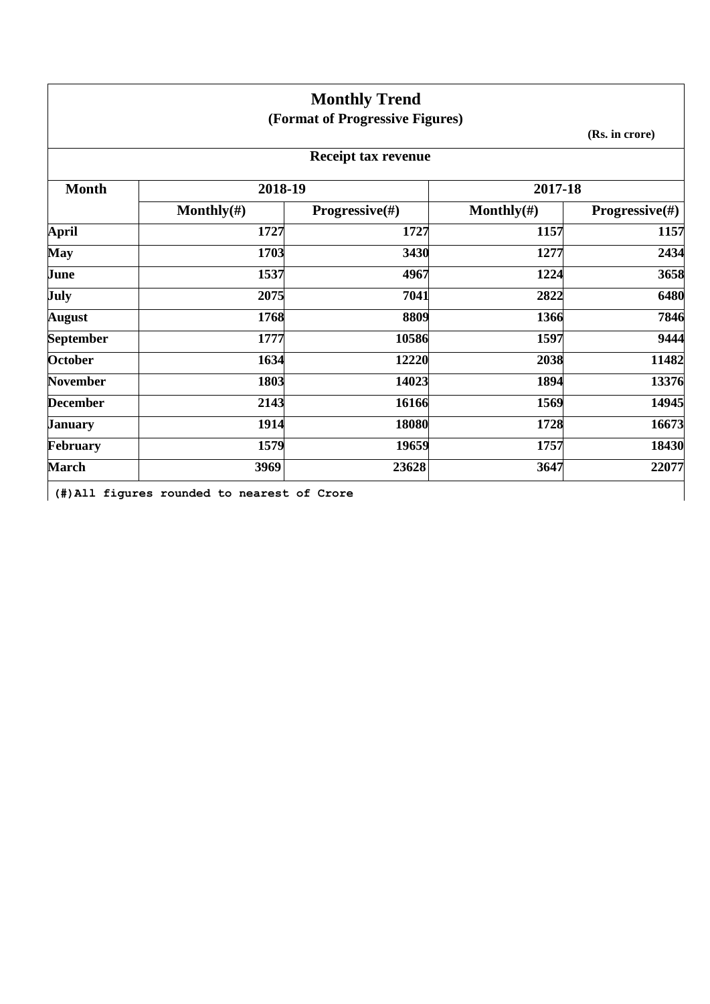|                           |                | <b>Monthly Trend</b>            |                                             |                                                                                         |
|---------------------------|----------------|---------------------------------|---------------------------------------------|-----------------------------------------------------------------------------------------|
|                           |                | (Format of Progressive Figures) |                                             |                                                                                         |
| (Rs. in crore)            |                |                                 |                                             |                                                                                         |
|                           |                | <b>Receipt tax revenue</b>      |                                             |                                                                                         |
|                           | 2017-18        |                                 | 2018-19                                     | <b>Month</b>                                                                            |
| <b>Progressive</b> $(\#)$ | Monthly $(\#)$ | <b>Progressive</b> $(\#)$       | Monthly $(\#)$                              |                                                                                         |
| 1157                      | 1157           | 1727                            | 1727                                        | <b>April</b>                                                                            |
| 2434                      | 1277           | 3430                            | 1703                                        | <b>May</b>                                                                              |
| 3658                      | 1224           | 4967                            | 1537                                        | June                                                                                    |
| 6480                      | 2822           | 7041                            | 2075                                        | <b>July</b>                                                                             |
| 7846                      | 1366           | 8809                            | 1768                                        | <b>August</b>                                                                           |
| 9444                      | 1597           | 10586                           | 1777                                        | <b>September</b>                                                                        |
| 11482                     | 2038           | 12220                           | 1634                                        | <b>October</b>                                                                          |
| 13376                     | 1894           | 14023                           | 1803                                        |                                                                                         |
| 14945                     | 1569           | 16166                           | 2143                                        |                                                                                         |
| 16673                     | 1728           | 18080                           | 1914                                        |                                                                                         |
| 18430                     | 1757           | 19659                           | 1579                                        |                                                                                         |
| 22077                     | 3647           | 23628                           | 3969                                        |                                                                                         |
|                           |                |                                 | (#) All figures rounded to nearest of Crore | <b>November</b><br><b>December</b><br><b>January</b><br><b>February</b><br><b>March</b> |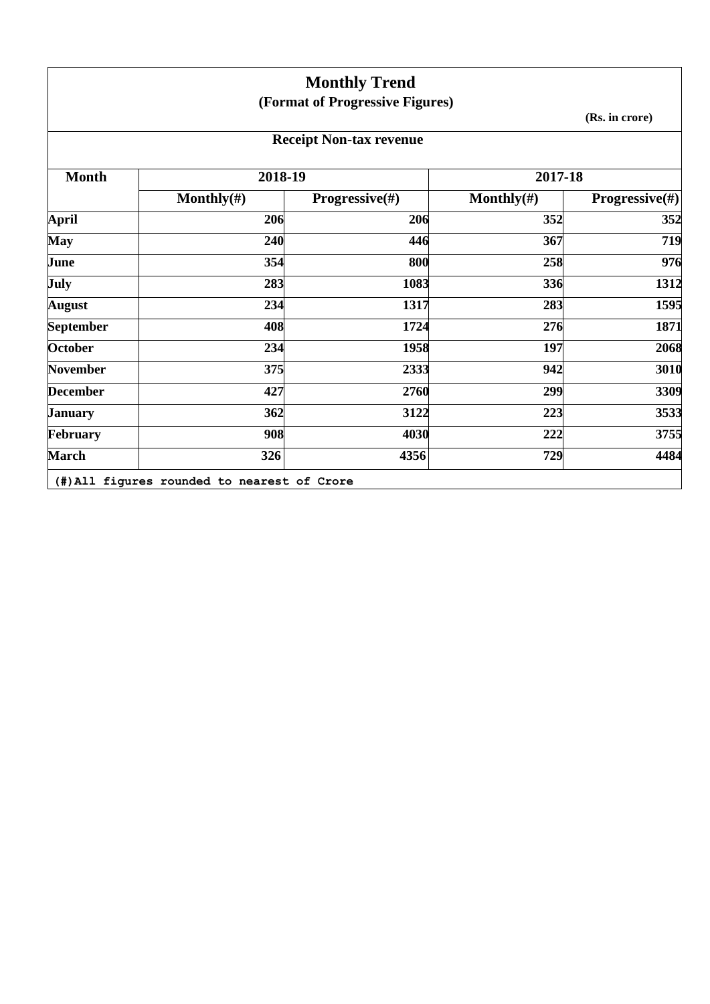|                  |                | <b>Monthly Trend</b>            |                |                           |
|------------------|----------------|---------------------------------|----------------|---------------------------|
|                  |                | (Format of Progressive Figures) |                |                           |
|                  |                |                                 |                | (Rs. in crore)            |
|                  |                | <b>Receipt Non-tax revenue</b>  |                |                           |
| <b>Month</b>     | 2018-19        |                                 | 2017-18        |                           |
|                  | Monthly $(\#)$ | <b>Progressive</b> $(\#)$       | Monthly $(\#)$ | <b>Progressive</b> $(\#)$ |
| <b>April</b>     | 206            | 206                             | 352            | 352                       |
| <b>May</b>       | 240            | 446                             | 367            | 719                       |
| June             | 354            | 800                             | 258            | 976                       |
| July             | 283            | 1083                            | 336            | 1312                      |
| <b>August</b>    | 234            | 1317                            | 283            | 1595                      |
| <b>September</b> | 408            | 1724                            | 276            | 1871                      |
| <b>October</b>   | 234            | 1958                            | 197            | 2068                      |
| <b>November</b>  | 375            | 2333                            | 942            | 3010                      |
| <b>December</b>  | 427            | 2760                            | 299            | 3309                      |
| <b>January</b>   | 362            | 3122                            | 223            | 3533                      |
| February         | 908            | 4030                            | 222            | 3755                      |
| <b>March</b>     | 326            | 4356                            | 729            | 4484                      |

**(#)All figures rounded to nearest of Crore**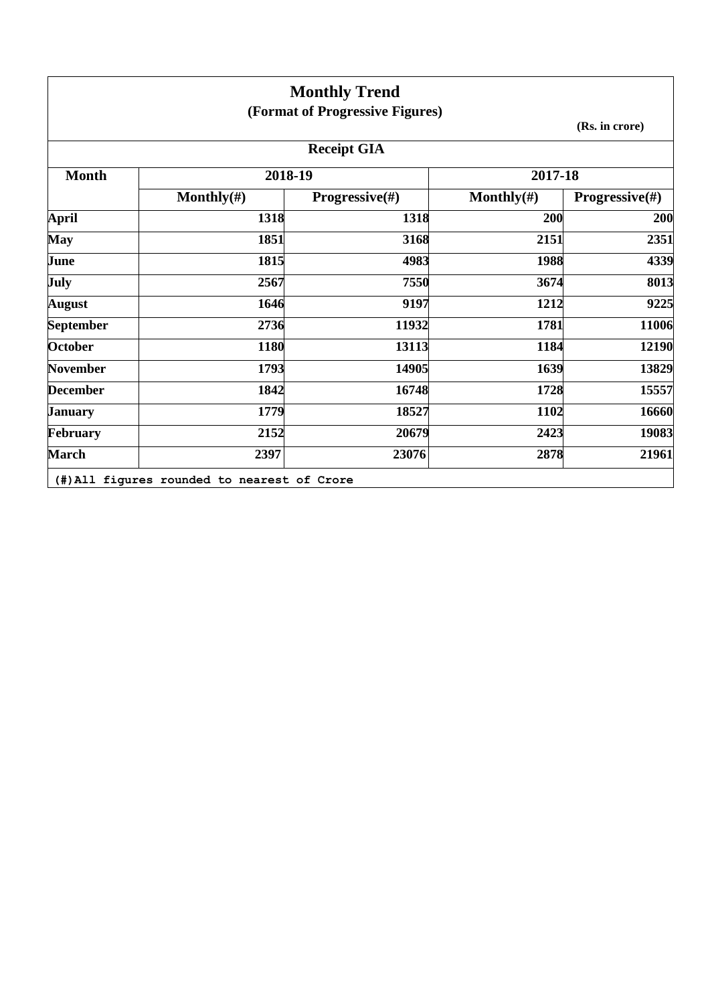|                  |                | <b>Monthly Trend</b><br>(Format of Progressive Figures) |                |                           |
|------------------|----------------|---------------------------------------------------------|----------------|---------------------------|
|                  |                |                                                         |                | (Rs. in crore)            |
|                  |                | <b>Receipt GIA</b>                                      |                |                           |
| <b>Month</b>     | 2018-19        |                                                         | 2017-18        |                           |
|                  | Monthly $(\#)$ | <b>Progressive</b> $(\#)$                               | Monthly $(\#)$ | <b>Progressive</b> $(\#)$ |
| <b>April</b>     | 1318           | 1318                                                    | 200            | 200                       |
| <b>May</b>       | 1851           | 3168                                                    | 2151           | 2351                      |
| June             | 1815           | 4983                                                    | 1988           | 4339                      |
| July             | 2567           | 7550                                                    | 3674           | 8013                      |
| <b>August</b>    | 1646           | 9197                                                    | 1212           | 9225                      |
| <b>September</b> | 2736           | 11932                                                   | 1781           | 11006                     |
| <b>October</b>   | 1180           | 13113                                                   | 1184           | 12190                     |
| <b>November</b>  | 1793           | 14905                                                   | 1639           | 13829                     |
| <b>December</b>  | 1842           | 16748                                                   | 1728           | 15557                     |
| <b>January</b>   | 1779           | 18527                                                   | 1102           | 16660                     |
| <b>February</b>  | 2152           | 20679                                                   | 2423           | 19083                     |
| <b>March</b>     | 2397           | 23076                                                   | 2878           | 21961                     |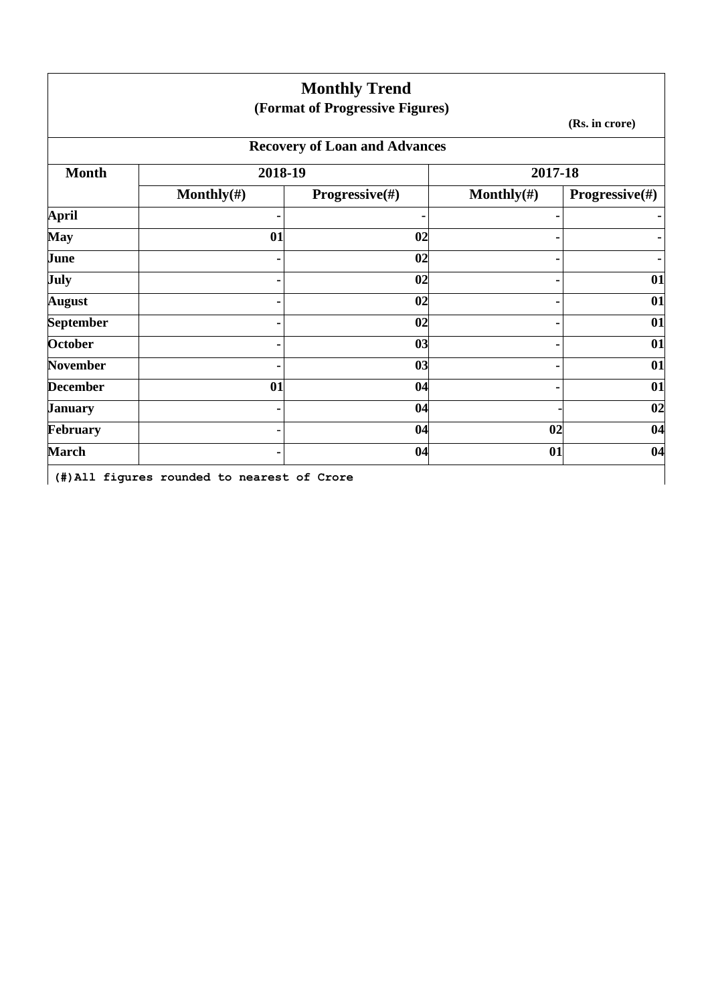|                  |                | <b>Monthly Trend</b><br>(Format of Progressive Figures) |                |                           |
|------------------|----------------|---------------------------------------------------------|----------------|---------------------------|
|                  |                |                                                         |                | (Rs. in crore)            |
|                  |                | <b>Recovery of Loan and Advances</b>                    |                |                           |
| <b>Month</b>     | 2018-19        |                                                         | 2017-18        |                           |
|                  | Monthly $(\#)$ | <b>Progressive</b> $(\#)$                               | Monthly $(\#)$ | <b>Progressive</b> $(\#)$ |
| <b>April</b>     |                | $\blacksquare$                                          |                |                           |
| <b>May</b>       | 01             | 02                                                      |                |                           |
| June             |                | 02                                                      |                |                           |
| July             |                | 02                                                      |                | 01                        |
| <b>August</b>    |                | 02                                                      |                | 01                        |
| <b>September</b> |                | 02                                                      |                | 01                        |
| <b>October</b>   |                | 03                                                      |                | 01                        |
| <b>November</b>  |                | 03                                                      |                | 01                        |
| <b>December</b>  | 01             | 04                                                      |                | 01                        |
| <b>January</b>   |                | 04                                                      |                | 02                        |
| February         |                | 04                                                      | 02             | 04                        |
| <b>March</b>     |                | 04                                                      | 01             | 04                        |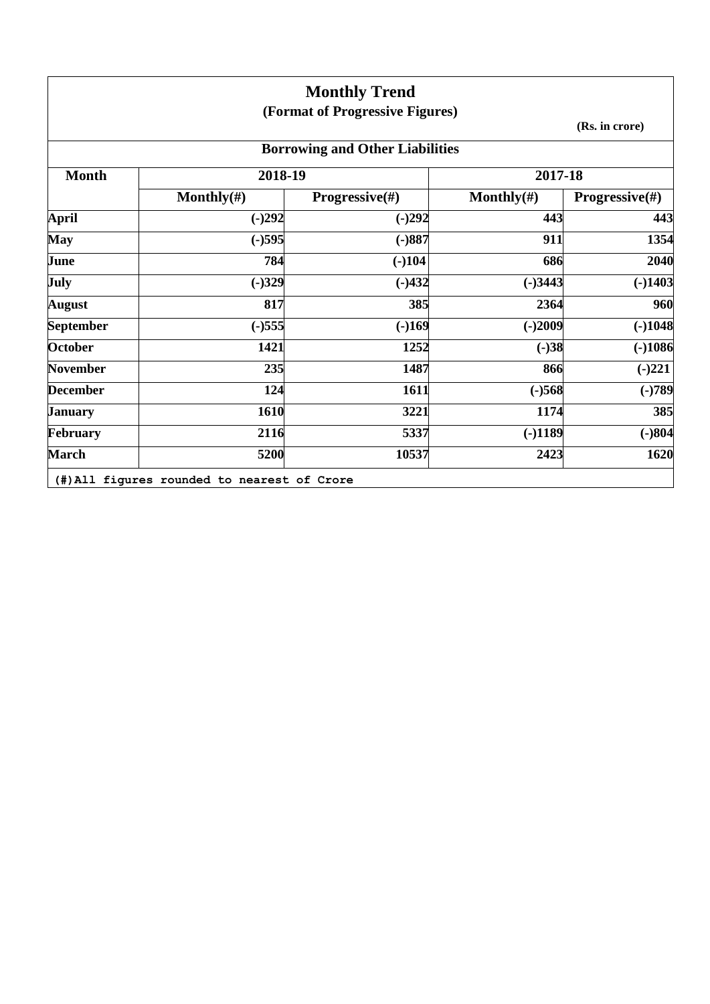|                  |                | <b>Monthly Trend</b>                   |                |                           |
|------------------|----------------|----------------------------------------|----------------|---------------------------|
|                  |                | (Format of Progressive Figures)        |                |                           |
|                  |                |                                        |                | (Rs. in crore)            |
|                  |                | <b>Borrowing and Other Liabilities</b> |                |                           |
| <b>Month</b>     | 2018-19        |                                        | 2017-18        |                           |
|                  | Monthly $(\#)$ | <b>Progressive</b> $(\#)$              | Monthly $(\#)$ | <b>Progressive</b> $(\#)$ |
| <b>April</b>     | $(-)292$       | $(-)292$                               | 443            | 443                       |
| <b>May</b>       | $(-)595$       | $(-)887$                               | 911            | 1354                      |
| June             | 784            | $(-)104$                               | 686            | 2040                      |
| July             | $(-)329$       | $(-)432$                               | $(-)3443$      | $(-)1403$                 |
| <b>August</b>    | 817            | 385                                    | 2364           | 960                       |
| <b>September</b> | $(-)555$       | $(-)169$                               | $(-)2009$      | $(-)1048$                 |
| <b>October</b>   | 1421           | 1252                                   | $(-)38$        | $(-)1086$                 |
| <b>November</b>  | 235            | 1487                                   | 866            | $(-)221$                  |
| <b>December</b>  | 124            | 1611                                   | $(-)568$       | $(-)789$                  |
| <b>January</b>   | 1610           | 3221                                   | 1174           | 385                       |
| February         | 2116           | 5337                                   | $(-)1189$      | $(-)804$                  |
| <b>March</b>     | 5200           | 10537                                  | 2423           | 1620                      |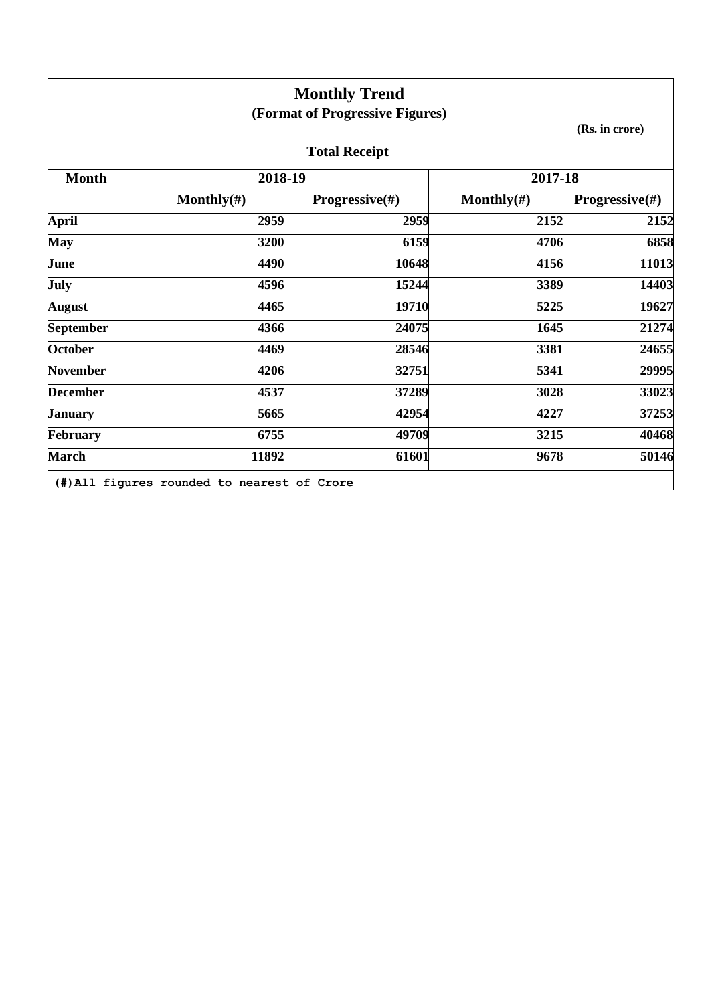|                  |                                             | <b>Monthly Trend</b><br>(Format of Progressive Figures) |                |                           |
|------------------|---------------------------------------------|---------------------------------------------------------|----------------|---------------------------|
|                  |                                             |                                                         |                | (Rs. in crore)            |
|                  |                                             | <b>Total Receipt</b>                                    |                |                           |
| <b>Month</b>     | 2018-19                                     |                                                         | 2017-18        |                           |
|                  | Monthly $(\#)$                              | <b>Progressive</b> $(\#)$                               | Monthly $(\#)$ | <b>Progressive</b> $(\#)$ |
| <b>April</b>     | 2959                                        | 2959                                                    | 2152           | 2152                      |
| <b>May</b>       | 3200                                        | 6159                                                    | 4706           | 6858                      |
| June             | 4490                                        | 10648                                                   | 4156           | 11013                     |
| July             | 4596                                        | 15244                                                   | 3389           | 14403                     |
| <b>August</b>    | 4465                                        | 19710                                                   | 5225           | 19627                     |
| <b>September</b> | 4366                                        | 24075                                                   | 1645           | 21274                     |
| <b>October</b>   | 4469                                        | 28546                                                   | 3381           | 24655                     |
| <b>November</b>  | 4206                                        | 32751                                                   | 5341           | 29995                     |
| <b>December</b>  | 4537                                        | 37289                                                   | 3028           | 33023                     |
| <b>January</b>   | 5665                                        | 42954                                                   | 4227           | 37253                     |
| February         | 6755                                        | 49709                                                   | 3215           | 40468                     |
| <b>March</b>     | 11892                                       | 61601                                                   | 9678           | 50146                     |
|                  | (#) All figures rounded to nearest of Crore |                                                         |                |                           |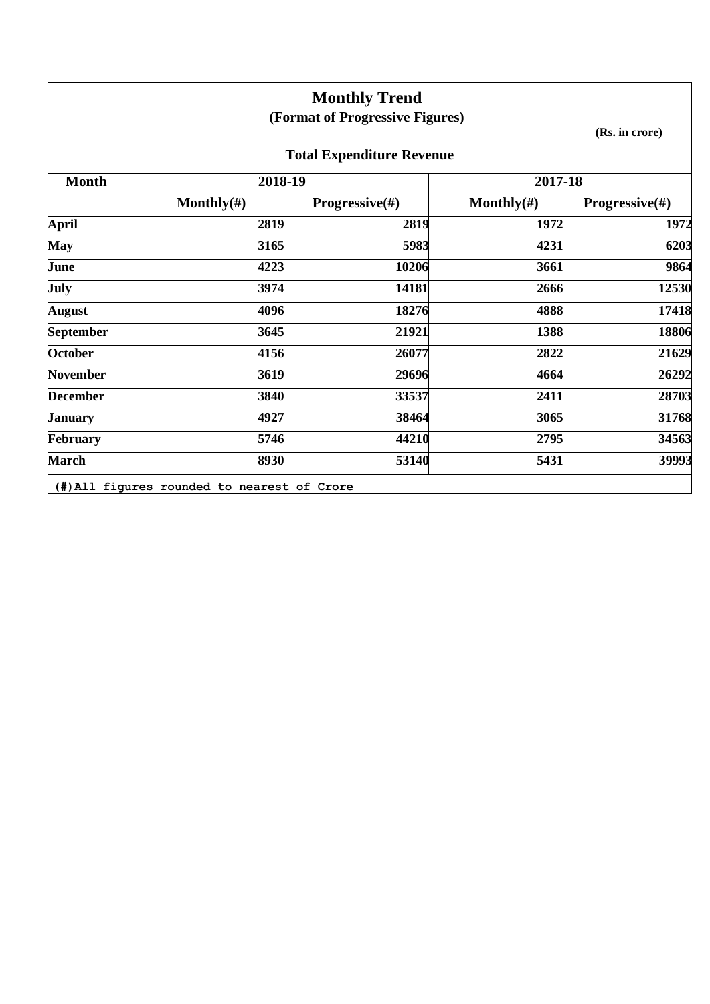|                  |                | <b>Monthly Trend</b>             |                |                           |
|------------------|----------------|----------------------------------|----------------|---------------------------|
|                  |                | (Format of Progressive Figures)  |                |                           |
|                  |                |                                  |                | (Rs. in crore)            |
|                  |                | <b>Total Expenditure Revenue</b> |                |                           |
| <b>Month</b>     | 2018-19        |                                  | 2017-18        |                           |
|                  | Monthly $(\#)$ | <b>Progressive</b> $(\#)$        | Monthly $(\#)$ | <b>Progressive</b> $(\#)$ |
| <b>April</b>     | 2819           | 2819                             | 1972           | 1972                      |
| <b>May</b>       | 3165           | 5983                             | 4231           | 6203                      |
| June             | 4223           | 10206                            | 3661           | 9864                      |
| July             | 3974           | 14181                            | 2666           | 12530                     |
| <b>August</b>    | 4096           | 18276                            | 4888           | 17418                     |
| <b>September</b> | 3645           | 21921                            | 1388           | 18806                     |
| <b>October</b>   | 4156           | 26077                            | 2822           | 21629                     |
| <b>November</b>  | 3619           | 29696                            | 4664           | 26292                     |
| <b>December</b>  | 3840           | 33537                            | 2411           | 28703                     |
| <b>January</b>   | 4927           | 38464                            | 3065           | 31768                     |
| February         | 5746           | 44210                            | 2795           | 34563                     |
| <b>March</b>     | 8930           | 53140                            | 5431           | 39993                     |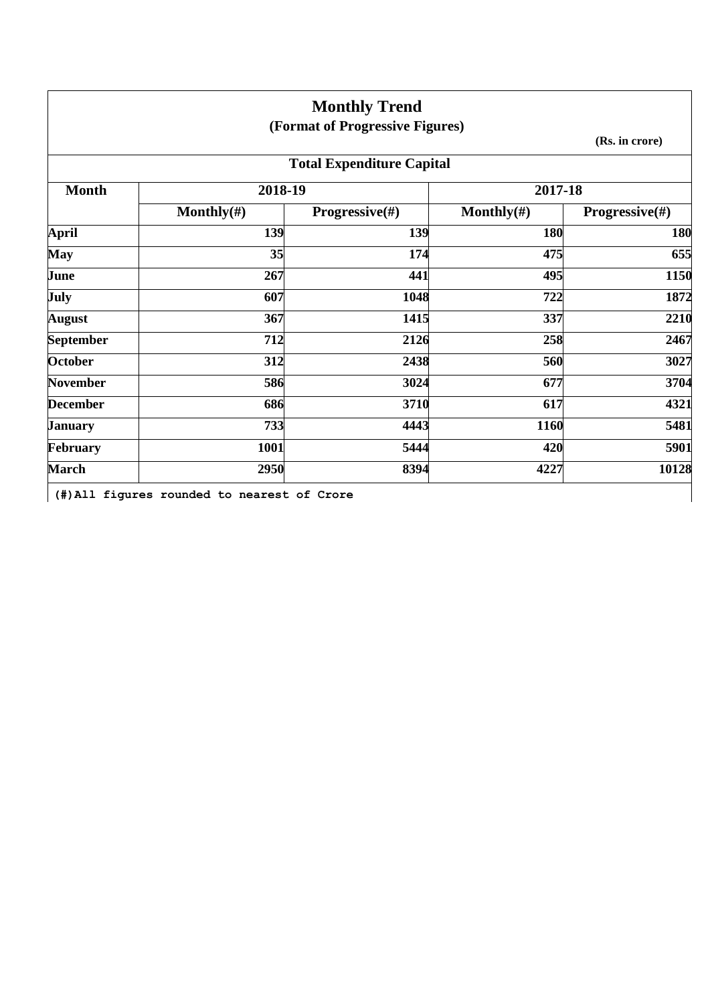|                  |                | <b>Monthly Trend</b>             |                |                |
|------------------|----------------|----------------------------------|----------------|----------------|
|                  |                | (Format of Progressive Figures)  |                |                |
|                  |                |                                  |                | (Rs. in crore) |
|                  |                | <b>Total Expenditure Capital</b> |                |                |
| <b>Month</b>     | 2018-19        |                                  | 2017-18        |                |
|                  | Monthly $(\#)$ | <b>Progressive</b> $(\#)$        | Monthly $(\#)$ | Progressive(#) |
| <b>April</b>     | 139            | 139                              | 180            | 180            |
| <b>May</b>       | 35             | 174                              | 475            | 655            |
| June             | 267            | 441                              | 495            | 1150           |
| July             | 607            | 1048                             | 722            | 1872           |
| <b>August</b>    | 367            | 1415                             | 337            | 2210           |
| <b>September</b> | 712            | 2126                             | 258            | 2467           |
| <b>October</b>   | 312            | 2438                             | 560            | 3027           |
| <b>November</b>  | 586            | 3024                             | 677            | 3704           |
| <b>December</b>  | 686            | 3710                             | 617            | 4321           |
| <b>January</b>   | 733            | 4443                             | 1160           | 5481           |
| February         | 1001           | 5444                             | 420            | 5901           |
| <b>March</b>     | 2950           | 8394                             | 4227           | 10128          |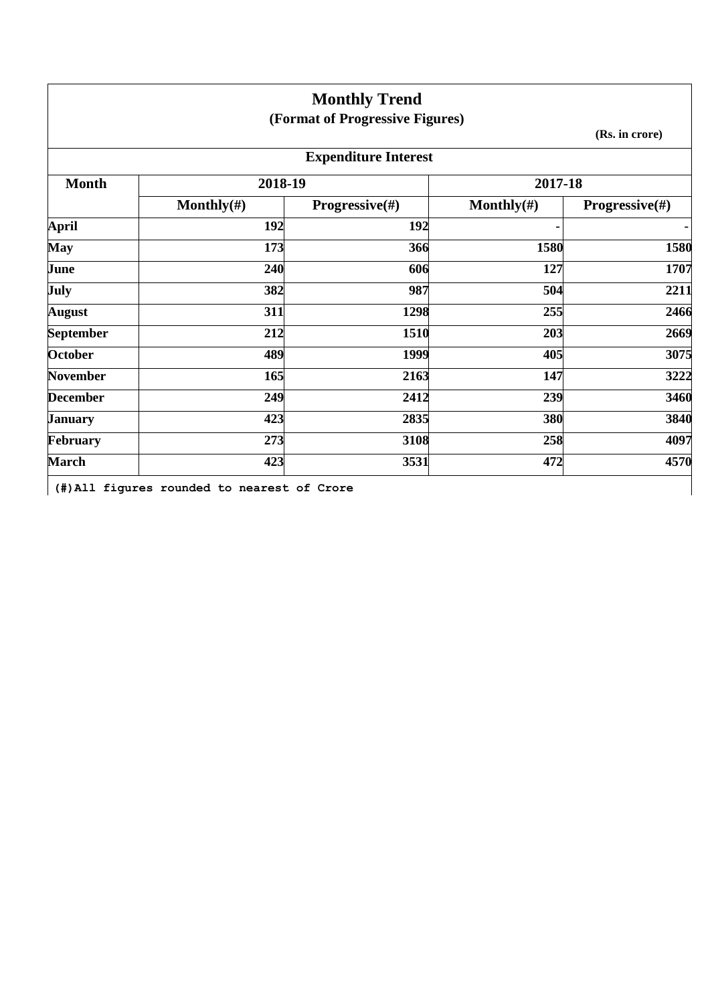|                  |                | <b>Monthly Trend</b>            |                |                           |
|------------------|----------------|---------------------------------|----------------|---------------------------|
|                  |                | (Format of Progressive Figures) |                |                           |
|                  |                |                                 |                | (Rs. in crore)            |
|                  |                | <b>Expenditure Interest</b>     |                |                           |
| <b>Month</b>     | 2018-19        |                                 | 2017-18        |                           |
|                  | Monthly $(\#)$ | <b>Progressive</b> $(\#)$       | Monthly $(\#)$ | <b>Progressive</b> $(\#)$ |
| <b>April</b>     | 192            | 192                             | ٠              | ٠                         |
| <b>May</b>       | 173            | 366                             | 1580           | 1580                      |
| June             | 240            | 606                             | 127            | 1707                      |
| July             | 382            | 987                             | 504            | 2211                      |
| <b>August</b>    | 311            | 1298                            | 255            | 2466                      |
| <b>September</b> | 212            | 1510                            | 203            | 2669                      |
| <b>October</b>   | 489            | 1999                            | 405            | 3075                      |
| <b>November</b>  | 165            | 2163                            | 147            | 3222                      |
| <b>December</b>  | 249            | 2412                            | 239            | 3460                      |
| <b>January</b>   | 423            | 2835                            | 380            | 3840                      |
| February         | 273            | 3108                            | 258            | 4097                      |
| <b>March</b>     | 423            | 3531                            | 472            | 4570                      |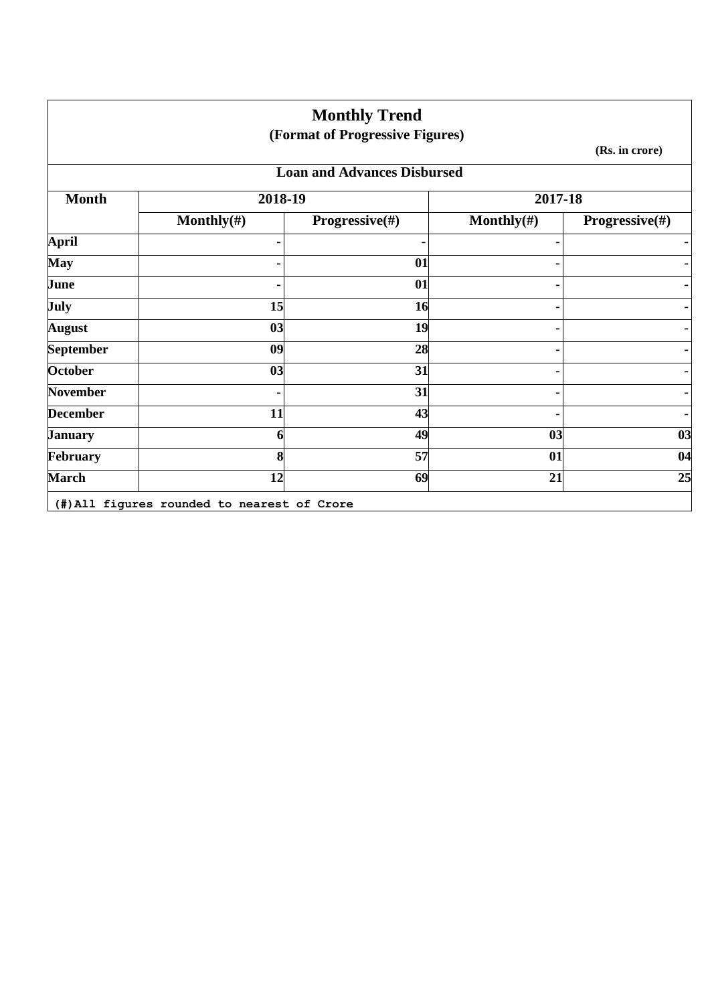|                  |                                             | <b>Monthly Trend</b><br>(Format of Progressive Figures) |                |                           |
|------------------|---------------------------------------------|---------------------------------------------------------|----------------|---------------------------|
|                  |                                             |                                                         |                | (Rs. in crore)            |
|                  |                                             | <b>Loan and Advances Disbursed</b>                      |                |                           |
| <b>Month</b>     | 2018-19                                     |                                                         | 2017-18        |                           |
|                  | Monthly $(\#)$                              | <b>Progressive</b> $(\#)$                               | Monthly $(\#)$ | <b>Progressive</b> $(\#)$ |
| <b>April</b>     |                                             | ٠                                                       |                |                           |
| <b>May</b>       |                                             | 01                                                      |                |                           |
| June             |                                             | 01                                                      |                |                           |
| July             | 15                                          | 16                                                      |                |                           |
| <b>August</b>    | 03                                          | 19                                                      |                |                           |
| <b>September</b> | 0 <sub>9</sub>                              | 28                                                      |                |                           |
| <b>October</b>   | 03                                          | 31                                                      |                |                           |
| <b>November</b>  |                                             | 31                                                      |                |                           |
| <b>December</b>  | 11                                          | 43                                                      |                |                           |
| <b>January</b>   | 6                                           | 49                                                      | 03             | 0 <sub>3</sub>            |
| February         | 8                                           | 57                                                      | 01             | 04                        |
| <b>March</b>     | 12                                          | 69                                                      | 21             | 25                        |
|                  | (#) All figures rounded to nearest of Crore |                                                         |                |                           |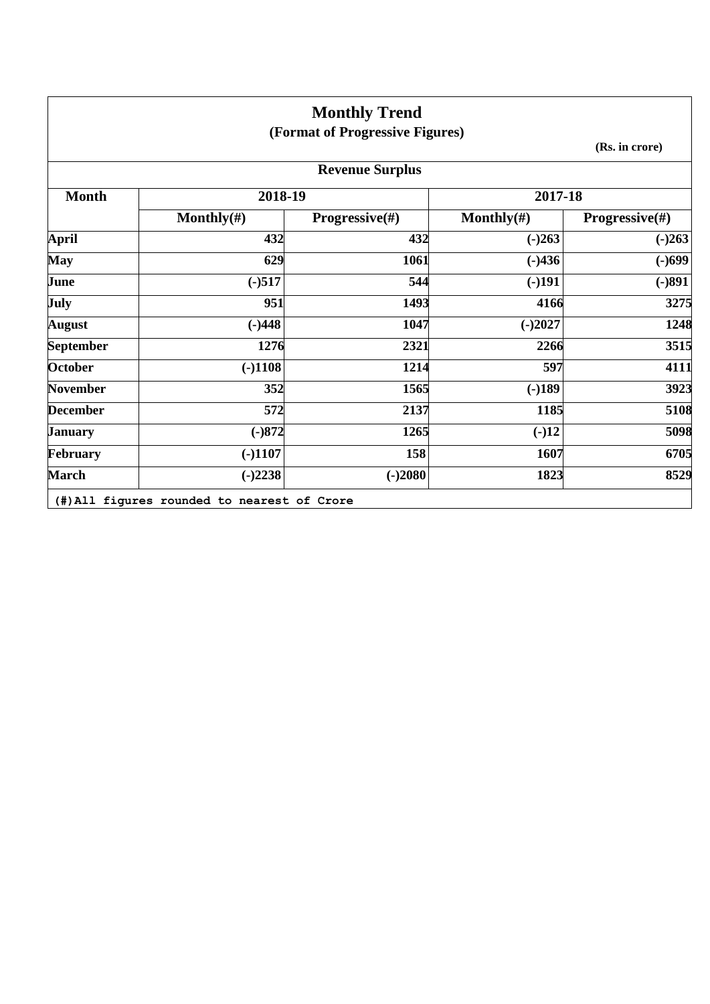|                  |                | <b>Monthly Trend</b><br>(Format of Progressive Figures) |                |                           |
|------------------|----------------|---------------------------------------------------------|----------------|---------------------------|
|                  |                |                                                         |                | (Rs. in crore)            |
|                  |                | <b>Revenue Surplus</b>                                  |                |                           |
| <b>Month</b>     | 2018-19        |                                                         | 2017-18        |                           |
|                  | Monthly $(\#)$ | <b>Progressive</b> $(\#)$                               | Monthly $(\#)$ | <b>Progressive</b> $(\#)$ |
| <b>April</b>     | 432            | 432                                                     | $(-)263$       | $(-)263$                  |
| <b>May</b>       | 629            | 1061                                                    | $(-)436$       | $(-)699$                  |
| June             | $(-)517$       | 544                                                     | $(-)191$       | $(-)891$                  |
| July             | 951            | 1493                                                    | 4166           | 3275                      |
| <b>August</b>    | $(-)448$       | 1047                                                    | $(-)2027$      | 1248                      |
| <b>September</b> | 1276           | 2321                                                    | 2266           | 3515                      |
| October          | $(-)1108$      | 1214                                                    | 597            | 4111                      |
| <b>November</b>  | 352            | 1565                                                    | $(-)189$       | 3923                      |
| <b>December</b>  | 572            | 2137                                                    | 1185           | 5108                      |
| <b>January</b>   | $(-)872$       | 1265                                                    | $(-)12$        | 5098                      |
| February         | $(-)1107$      | 158                                                     | 1607           | 6705                      |
| <b>March</b>     | $(-)2238$      | $(-)2080$                                               | 1823           | 8529                      |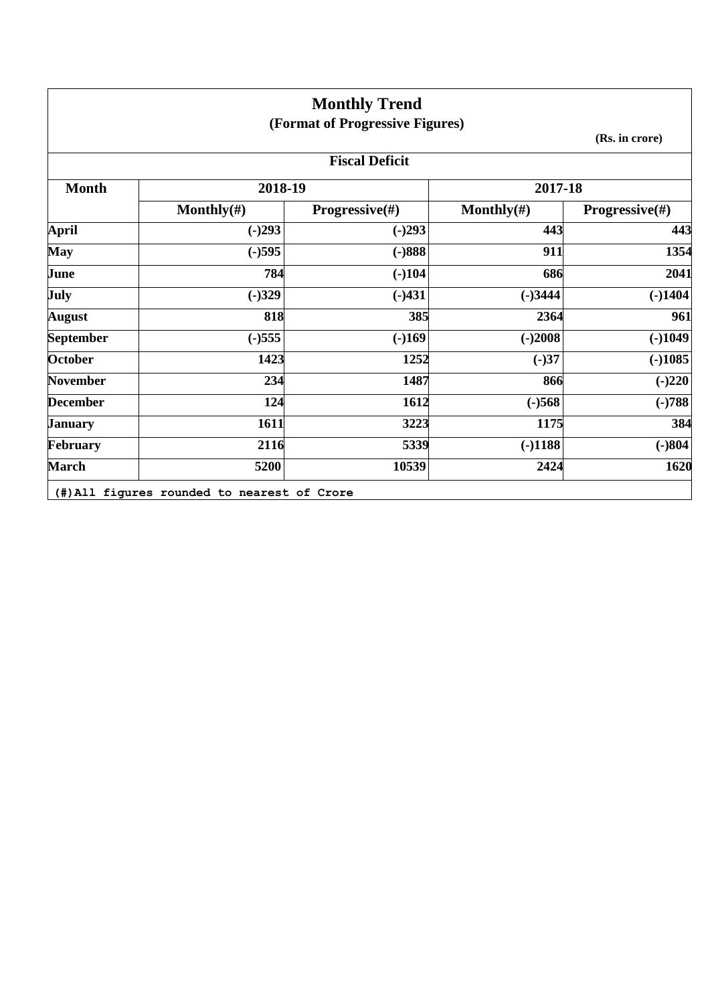|                  |                | <b>Monthly Trend</b><br>(Format of Progressive Figures) |                |                           |  |
|------------------|----------------|---------------------------------------------------------|----------------|---------------------------|--|
|                  | (Rs. in crore) |                                                         |                |                           |  |
|                  |                | <b>Fiscal Deficit</b>                                   |                |                           |  |
| <b>Month</b>     | 2018-19        |                                                         | 2017-18        |                           |  |
|                  | Monthly $(\#)$ | <b>Progressive</b> $(\#)$                               | Monthly $(\#)$ | <b>Progressive</b> $(\#)$ |  |
| <b>April</b>     | $(-)293$       | $(-)293$                                                | 443            | 443                       |  |
| <b>May</b>       | $(-)595$       | $(-)888$                                                | 911            | 1354                      |  |
| June             | 784            | $(-)104$                                                | 686            | 2041                      |  |
| <b>July</b>      | $(-)329$       | $(-)431$                                                | $(-)3444$      | $(-)1404$                 |  |
| <b>August</b>    | 818            | 385                                                     | 2364           | 961                       |  |
| <b>September</b> | $(-)555$       | $(-)169$                                                | $(-)2008$      | $(-)1049$                 |  |
| <b>October</b>   | 1423           | 1252                                                    | $(-)37$        | $(-)1085$                 |  |
| <b>November</b>  | 234            | 1487                                                    | 866            | $(-)220$                  |  |
| <b>December</b>  | 124            | 1612                                                    | $(-)568$       | $(-)788$                  |  |
| <b>January</b>   | 1611           | 3223                                                    | 1175           | 384                       |  |
| February         | 2116           | 5339                                                    | $(-)1188$      | $(-)804$                  |  |
| <b>March</b>     | 5200           | 10539                                                   | 2424           | 1620                      |  |